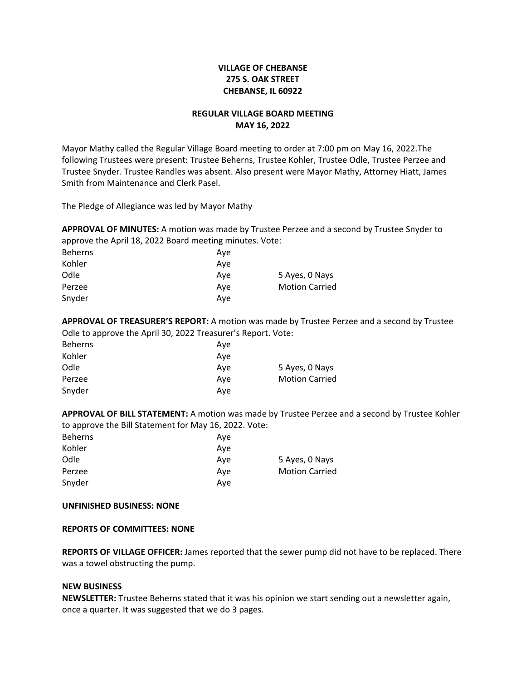# **VILLAGE OF CHEBANSE 275 S. OAK STREET CHEBANSE, IL 60922**

## **REGULAR VILLAGE BOARD MEETING MAY 16, 2022**

Mayor Mathy called the Regular Village Board meeting to order at 7:00 pm on May 16, 2022.The following Trustees were present: Trustee Beherns, Trustee Kohler, Trustee Odle, Trustee Perzee and Trustee Snyder. Trustee Randles was absent. Also present were Mayor Mathy, Attorney Hiatt, James Smith from Maintenance and Clerk Pasel.

The Pledge of Allegiance was led by Mayor Mathy

**APPROVAL OF MINUTES:** A motion was made by Trustee Perzee and a second by Trustee Snyder to approve the April 18, 2022 Board meeting minutes. Vote:

| <b>Beherns</b> | Ave |                       |
|----------------|-----|-----------------------|
| Kohler         | Ave |                       |
| Odle           | Ave | 5 Ayes, 0 Nays        |
| Perzee         | Ave | <b>Motion Carried</b> |
| Snyder         | Ave |                       |

**APPROVAL OF TREASURER'S REPORT:** A motion was made by Trustee Perzee and a second by Trustee Odle to approve the April 30, 2022 Treasurer's Report. Vote:

| <b>Beherns</b> | Ave |                       |
|----------------|-----|-----------------------|
| Kohler         | Ave |                       |
| Odle           | Ave | 5 Ayes, 0 Nays        |
| Perzee         | Ave | <b>Motion Carried</b> |
| Snyder         | Ave |                       |

**APPROVAL OF BILL STATEMENT:** A motion was made by Trustee Perzee and a second by Trustee Kohler to approve the Bill Statement for May 16, 2022. Vote:

| <b>Beherns</b> | Ave |                       |
|----------------|-----|-----------------------|
| Kohler         | Ave |                       |
| Odle           | Ave | 5 Ayes, 0 Nays        |
| Perzee         | Ave | <b>Motion Carried</b> |
| Snyder         | Ave |                       |

## **UNFINISHED BUSINESS: NONE**

## **REPORTS OF COMMITTEES: NONE**

**REPORTS OF VILLAGE OFFICER:** James reported that the sewer pump did not have to be replaced. There was a towel obstructing the pump.

#### **NEW BUSINESS**

**NEWSLETTER:** Trustee Beherns stated that it was his opinion we start sending out a newsletter again, once a quarter. It was suggested that we do 3 pages.